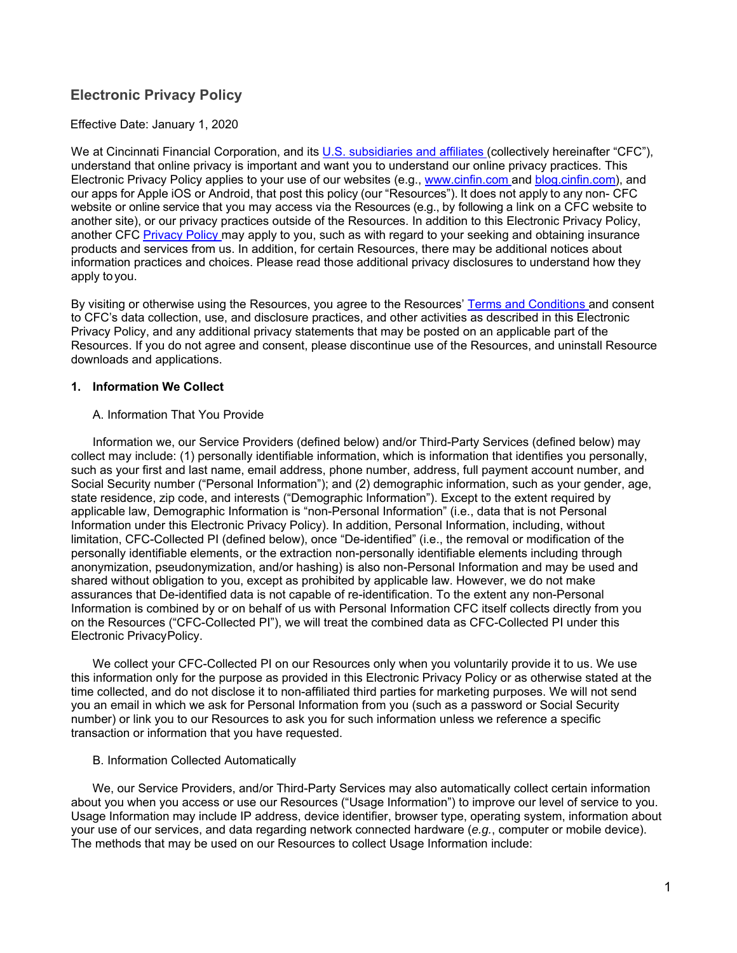# **Electronic Privacy Policy**

### Effective Date: January 1, 2020

We at Cincinnati Financial Corporation, and its [U.S. subsidiaries and affiliates \(](https://www.cinfin.com/about-us/subsidiaries.aspx)collectively hereinafter "CFC"), understand that online privacy is important and want you to understand our online privacy practices. This Electronic Privacy Policy applies to your use of our websites (e.g., www.cinfin.com and [blog.cinfin.com](https://blog.cinfin.com/)), and our apps for Apple iOS or Android, that post this policy (our "Resources"). It does not apply to any non- CFC website or online service that you may access via the Resources (e.g., by following a link on a CFC website to another site), or our privacy practices outside of the Resources. In addition to this Electronic Privacy Policy, another CFC [Privacy Policy](https://www.cinfin.com/privacy-policy) may apply to you, such as with regard to your seeking and obtaining insurance products and services from us. In addition, for certain Resources, there may be additional notices about information practices and choices. Please read those additional privacy disclosures to understand how they apply to you.

By visiting or otherwise using the Resources, you agree to the Resources' [Terms and Conditions](https://www.cinfin.com/~/media/files/pdfs/MyCincinnatiEULA.pdf) and consent to CFC's data collection, use, and disclosure practices, and other activities as described in this Electronic Privacy Policy, and any additional privacy statements that may be posted on an applicable part of the Resources. If you do not agree and consent, please discontinue use of the Resources, and uninstall Resource downloads and applications.

### **1. Information We Collect**

### A. Information That You Provide

Information we, our Service Providers (defined below) and/or Third-Party Services (defined below) may collect may include: (1) personally identifiable information, which is information that identifies you personally, such as your first and last name, email address, phone number, address, full payment account number, and Social Security number ("Personal Information"); and (2) demographic information, such as your gender, age, state residence, zip code, and interests ("Demographic Information"). Except to the extent required by applicable law, Demographic Information is "non-Personal Information" (i.e., data that is not Personal Information under this Electronic Privacy Policy). In addition, Personal Information, including, without limitation, CFC-Collected PI (defined below), once "De-identified" (i.e., the removal or modification of the personally identifiable elements, or the extraction non-personally identifiable elements including through anonymization, pseudonymization, and/or hashing) is also non-Personal Information and may be used and shared without obligation to you, except as prohibited by applicable law. However, we do not make assurances that De-identified data is not capable of re-identification. To the extent any non-Personal Information is combined by or on behalf of us with Personal Information CFC itself collects directly from you on the Resources ("CFC-Collected PI"), we will treat the combined data as CFC-Collected PI under this Electronic Privacy Policy.

We collect your CFC-Collected PI on our Resources only when you voluntarily provide it to us. We use this information only for the purpose as provided in this Electronic Privacy Policy or as otherwise stated at the time collected, and do not disclose it to non-affiliated third parties for marketing purposes. We will not send you an email in which we ask for Personal Information from you (such as a password or Social Security number) or link you to our Resources to ask you for such information unless we reference a specific transaction or information that you have requested.

#### B. Information Collected Automatically

We, our Service Providers, and/or Third-Party Services may also automatically collect certain information about you when you access or use our Resources ("Usage Information") to improve our level of service to you. Usage Information may include IP address, device identifier, browser type, operating system, information about your use of our services, and data regarding network connected hardware (*e.g.*, computer or mobile device). The methods that may be used on our Resources to collect Usage Information include: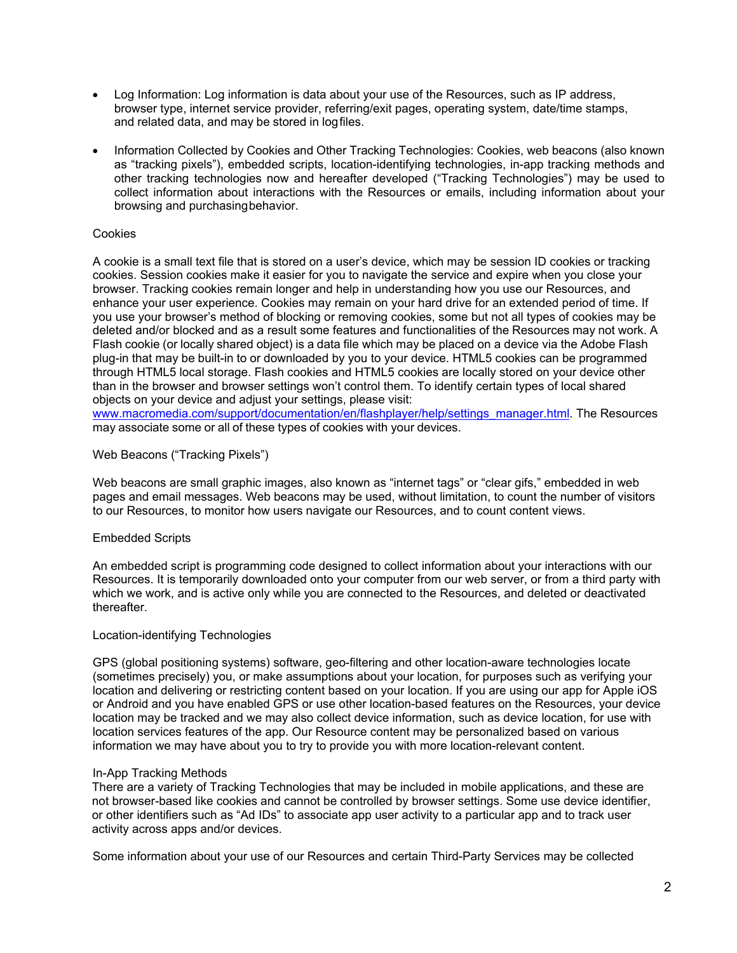- Log Information: Log information is data about your use of the Resources, such as IP address, browser type, internet service provider, referring/exit pages, operating system, date/time stamps, and related data, and may be stored in log files.
- Information Collected by Cookies and Other Tracking Technologies: Cookies, web beacons (also known as "tracking pixels"), embedded scripts, location-identifying technologies, in-app tracking methods and other tracking technologies now and hereafter developed ("Tracking Technologies") may be used to collect information about interactions with the Resources or emails, including information about your browsing and purchasing behavior.

#### Cookies

A cookie is a small text file that is stored on a user's device, which may be session ID cookies or tracking cookies. Session cookies make it easier for you to navigate the service and expire when you close your browser. Tracking cookies remain longer and help in understanding how you use our Resources, and enhance your user experience. Cookies may remain on your hard drive for an extended period of time. If you use your browser's method of blocking or removing cookies, some but not all types of cookies may be deleted and/or blocked and as a result some features and functionalities of the Resources may not work. A Flash cookie (or locally shared object) is a data file which may be placed on a device via the Adobe Flash plug-in that may be built-in to or downloaded by you to your device. HTML5 cookies can be programmed through HTML5 local storage. Flash cookies and HTML5 cookies are locally stored on your device other than in the browser and browser settings won't control them. To identify certain types of local shared objects on your device and adjust your settings, please visit:

www.macromedia.com/support/documentation/en/flashplayer/help/settings\_manager.html. The Resources may associate some or all of these types of cookies with your devices.

### Web Beacons ("Tracking Pixels")

Web beacons are small graphic images, also known as "internet tags" or "clear gifs," embedded in web pages and email messages. Web beacons may be used, without limitation, to count the number of visitors to our Resources, to monitor how users navigate our Resources, and to count content views.

#### Embedded Scripts

An embedded script is programming code designed to collect information about your interactions with our Resources. It is temporarily downloaded onto your computer from our web server, or from a third party with which we work, and is active only while you are connected to the Resources, and deleted or deactivated thereafter.

#### Location-identifying Technologies

GPS (global positioning systems) software, geo-filtering and other location-aware technologies locate (sometimes precisely) you, or make assumptions about your location, for purposes such as verifying your location and delivering or restricting content based on your location. If you are using our app for Apple iOS or Android and you have enabled GPS or use other location-based features on the Resources, your device location may be tracked and we may also collect device information, such as device location, for use with location services features of the app. Our Resource content may be personalized based on various information we may have about you to try to provide you with more location-relevant content.

#### In-App Tracking Methods

There are a variety of Tracking Technologies that may be included in mobile applications, and these are not browser-based like cookies and cannot be controlled by browser settings. Some use device identifier, or other identifiers such as "Ad IDs" to associate app user activity to a particular app and to track user activity across apps and/or devices.

Some information about your use of our Resources and certain Third-Party Services may be collected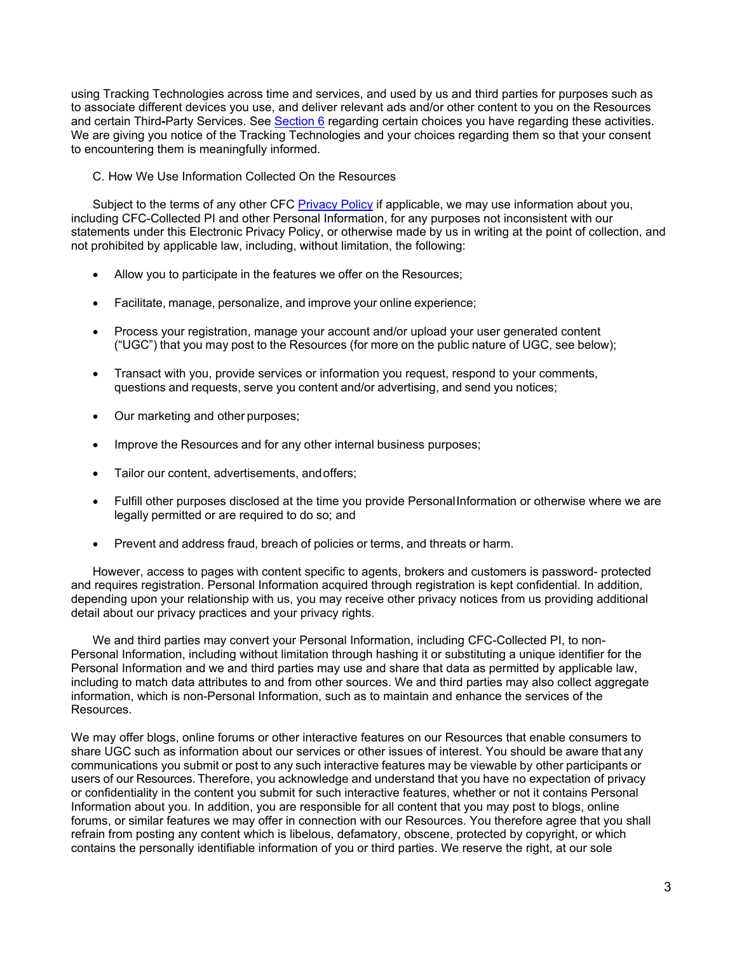using Tracking Technologies across time and services, and used by us and third parties for purposes such as to associate different devices you use, and deliver relevant ads and/or other content to you on the Resources and certain Third**-**Party Services. See [Section 6](#page-4-0) regarding certain choices you have regarding these activities. We are giving you notice of the Tracking Technologies and your choices regarding them so that your consent to encountering them is meaningfully informed.

C. How We Use Information Collected On the Resources

Subject to the terms of any other CFC [Privacy Policy](https://www.cinfin.com/privacy-policy) if applicable, we may use information about you, including CFC-Collected PI and other Personal Information, for any purposes not inconsistent with our statements under this Electronic Privacy Policy, or otherwise made by us in writing at the point of collection, and not prohibited by applicable law, including, without limitation, the following:

- Allow you to participate in the features we offer on the Resources;
- Facilitate, manage, personalize, and improve your online experience;
- Process your registration, manage your account and/or upload your user generated content ("UGC") that you may post to the Resources (for more on the public nature of UGC, see below);
- Transact with you, provide services or information you request, respond to your comments, questions and requests, serve you content and/or advertising, and send you notices;
- Our marketing and other purposes;
- Improve the Resources and for any other internal business purposes;
- Tailor our content, advertisements, and offers;
- Fulfill other purposes disclosed at the time you provide Personal Information or otherwise where we are legally permitted or are required to do so; and
- Prevent and address fraud, breach of policies or terms, and threats or harm.

However, access to pages with content specific to agents, brokers and customers is password- protected and requires registration. Personal Information acquired through registration is kept confidential. In addition, depending upon your relationship with us, you may receive other privacy notices from us providing additional detail about our privacy practices and your privacy rights.

We and third parties may convert your Personal Information, including CFC-Collected PI, to non-Personal Information, including without limitation through hashing it or substituting a unique identifier for the Personal Information and we and third parties may use and share that data as permitted by applicable law, including to match data attributes to and from other sources. We and third parties may also collect aggregate information, which is non-Personal Information, such as to maintain and enhance the services of the Resources.

We may offer blogs, online forums or other interactive features on our Resources that enable consumers to share UGC such as information about our services or other issues of interest. You should be aware that any communications you submit or post to any such interactive features may be viewable by other participants or users of our Resources. Therefore, you acknowledge and understand that you have no expectation of privacy or confidentiality in the content you submit for such interactive features, whether or not it contains Personal Information about you. In addition, you are responsible for all content that you may post to blogs, online forums, or similar features we may offer in connection with our Resources. You therefore agree that you shall refrain from posting any content which is libelous, defamatory, obscene, protected by copyright, or which contains the personally identifiable information of you or third parties. We reserve the right, at our sole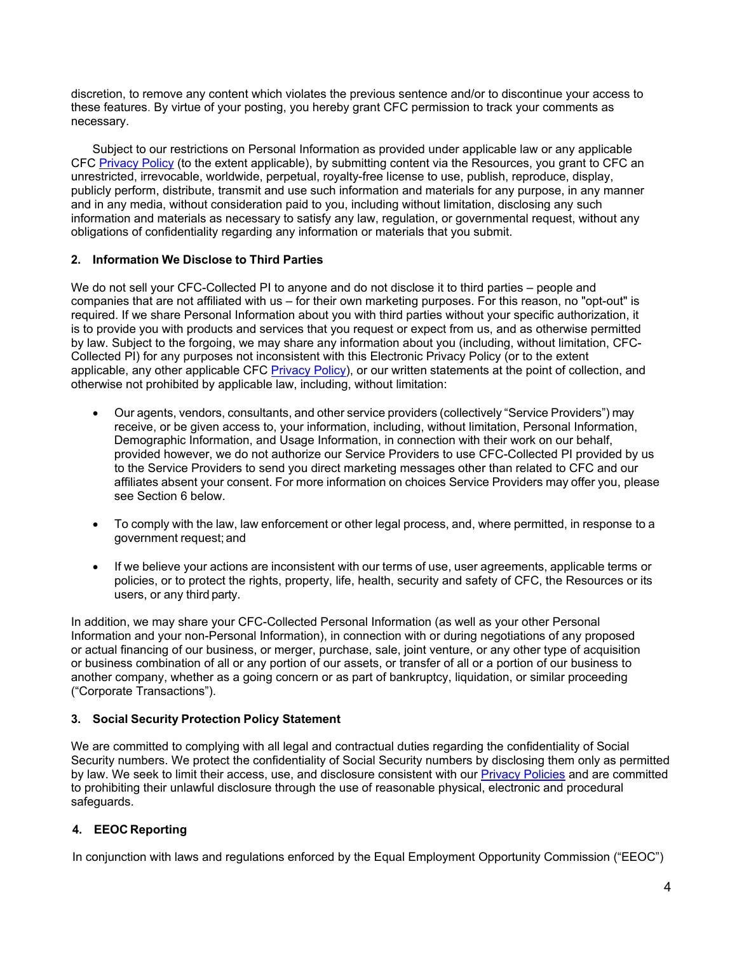discretion, to remove any content which violates the previous sentence and/or to discontinue your access to these features. By virtue of your posting, you hereby grant CFC permission to track your comments as necessary.

Subject to our restrictions on Personal Information as provided under applicable law or any applicable CFC [Privacy Policy](https://www.cinfin.com/privacy-policy) (to the extent applicable), by submitting content via the Resources, you grant to CFC an unrestricted, irrevocable, worldwide, perpetual, royalty-free license to use, publish, reproduce, display, publicly perform, distribute, transmit and use such information and materials for any purpose, in any manner and in any media, without consideration paid to you, including without limitation, disclosing any such information and materials as necessary to satisfy any law, regulation, or governmental request, without any obligations of confidentiality regarding any information or materials that you submit.

## **2. Information We Disclose to Third Parties**

We do not sell your CFC-Collected PI to anyone and do not disclose it to third parties – people and companies that are not affiliated with us – for their own marketing purposes. For this reason, no "opt-out" is required. If we share Personal Information about you with third parties without your specific authorization, it is to provide you with products and services that you request or expect from us, and as otherwise permitted by law. Subject to the forgoing, we may share any information about you (including, without limitation, CFC-Collected PI) for any purposes not inconsistent with this Electronic Privacy Policy (or to the extent applicable, any other applicable CFC [Privacy Policy\)](https://www.cinfin.com/privacy-policy), or our written statements at the point of collection, and otherwise not prohibited by applicable law, including, without limitation:

- Our agents, vendors, consultants, and other service providers (collectively "Service Providers") may receive, or be given access to, your information, including, without limitation, Personal Information, Demographic Information, and Usage Information, in connection with their work on our behalf, provided however, we do not authorize our Service Providers to use CFC-Collected PI provided by us to the Service Providers to send you direct marketing messages other than related to CFC and our affiliates absent your consent. For more information on choices Service Providers may offer you, please see Section 6 below.
- To comply with the law, law enforcement or other legal process, and, where permitted, in response to a government request; and
- If we believe your actions are inconsistent with our terms of use, user agreements, applicable terms or policies, or to protect the rights, property, life, health, security and safety of CFC, the Resources or its users, or any third party.

In addition, we may share your CFC-Collected Personal Information (as well as your other Personal Information and your non-Personal Information), in connection with or during negotiations of any proposed or actual financing of our business, or merger, purchase, sale, joint venture, or any other type of acquisition or business combination of all or any portion of our assets, or transfer of all or a portion of our business to another company, whether as a going concern or as part of bankruptcy, liquidation, or similar proceeding ("Corporate Transactions").

## **3. Social Security Protection Policy Statement**

We are committed to complying with all legal and contractual duties regarding the confidentiality of Social Security numbers. We protect the confidentiality of Social Security numbers by disclosing them only as permitted by law. We seek to limit their access, use, and disclosure consistent with our [Privacy Policies](https://www.cinfin.com/privacy-policy) and are committed to prohibiting their unlawful disclosure through the use of reasonable physical, electronic and procedural safeguards.

## **4. EEOC Reporting**

In conjunction with laws and regulations enforced by the Equal Employment Opportunity Commission ("EEOC")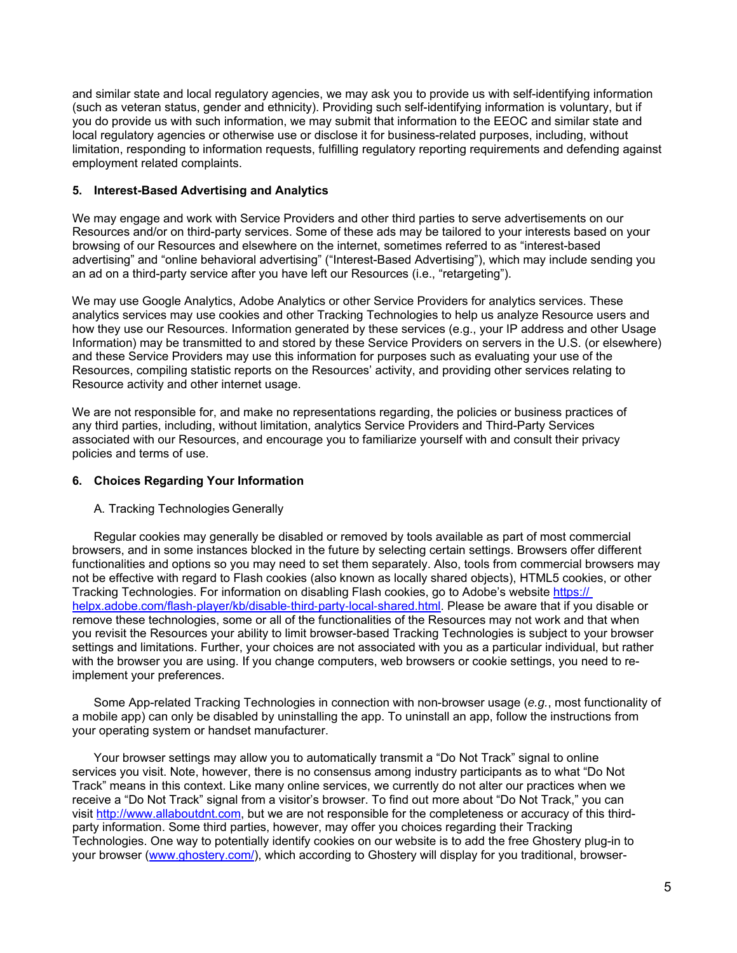<span id="page-4-0"></span>and similar state and local regulatory agencies, we may ask you to provide us with self-identifying information (such as veteran status, gender and ethnicity). Providing such self-identifying information is voluntary, but if you do provide us with such information, we may submit that information to the EEOC and similar state and local regulatory agencies or otherwise use or disclose it for business-related purposes, including, without limitation, responding to information requests, fulfilling regulatory reporting requirements and defending against employment related complaints.

### **5. Interest-Based Advertising and Analytics**

We may engage and work with Service Providers and other third parties to serve advertisements on our Resources and/or on third-party services. Some of these ads may be tailored to your interests based on your browsing of our Resources and elsewhere on the internet, sometimes referred to as "interest-based advertising" and "online behavioral advertising" ("Interest-Based Advertising"), which may include sending you an ad on a third-party service after you have left our Resources (i.e., "retargeting").

We may use Google Analytics, Adobe Analytics or other Service Providers for analytics services. These analytics services may use cookies and other Tracking Technologies to help us analyze Resource users and how they use our Resources. Information generated by these services (e.g., your IP address and other Usage Information) may be transmitted to and stored by these Service Providers on servers in the U.S. (or elsewhere) and these Service Providers may use this information for purposes such as evaluating your use of the Resources, compiling statistic reports on the Resources' activity, and providing other services relating to Resource activity and other internet usage.

We are not responsible for, and make no representations regarding, the policies or business practices of any third parties, including, without limitation, analytics Service Providers and Third-Party Services associated with our Resources, and encourage you to familiarize yourself with and consult their privacy policies and terms of use.

#### **6. Choices Regarding Your Information**

#### A. Tracking Technologies Generally

Regular cookies may generally be disabled or removed by tools available as part of most commercial browsers, and in some instances blocked in the future by selecting certain settings. Browsers offer different functionalities and options so you may need to set them separately. Also, tools from commercial browsers may not be effective with regard to Flash cookies (also known as locally shared objects), HTML5 cookies, or other Tracking Technologies. For information on disabling Flash cookies, go to Adobe's website https:// helpx.adobe.com/flash-player/kb/disable-third-party-local-shared.html. Please be aware that if you disable or remove these technologies, some or all of the functionalities of the Resources may not work and that when you revisit the Resources your ability to limit browser-based Tracking Technologies is subject to your browser settings and limitations. Further, your choices are not associated with you as a particular individual, but rather with the browser you are using. If you change computers, web browsers or cookie settings, you need to reimplement your preferences.

Some App-related Tracking Technologies in connection with non-browser usage (*e.g.*, most functionality of a mobile app) can only be disabled by uninstalling the app. To uninstall an app, follow the instructions from your operating system or handset manufacturer.

Your browser settings may allow you to automatically transmit a "Do Not Track" signal to online services you visit. Note, however, there is no consensus among industry participants as to what "Do Not Track" means in this context. Like many online services, we currently do not alter our practices when we receive a "Do Not Track" signal from a visitor's browser. To find out more about "Do Not Track," you can visit http://www.allaboutdnt.com, but we are not responsible for the completeness or accuracy of this thirdparty information. Some third parties, however, may offer you choices regarding their Tracking Technologies. One way to potentially identify cookies on our website is to add the free Ghostery plug-in to your browser (www.ghostery.com/), which according to Ghostery will display for you traditional, browser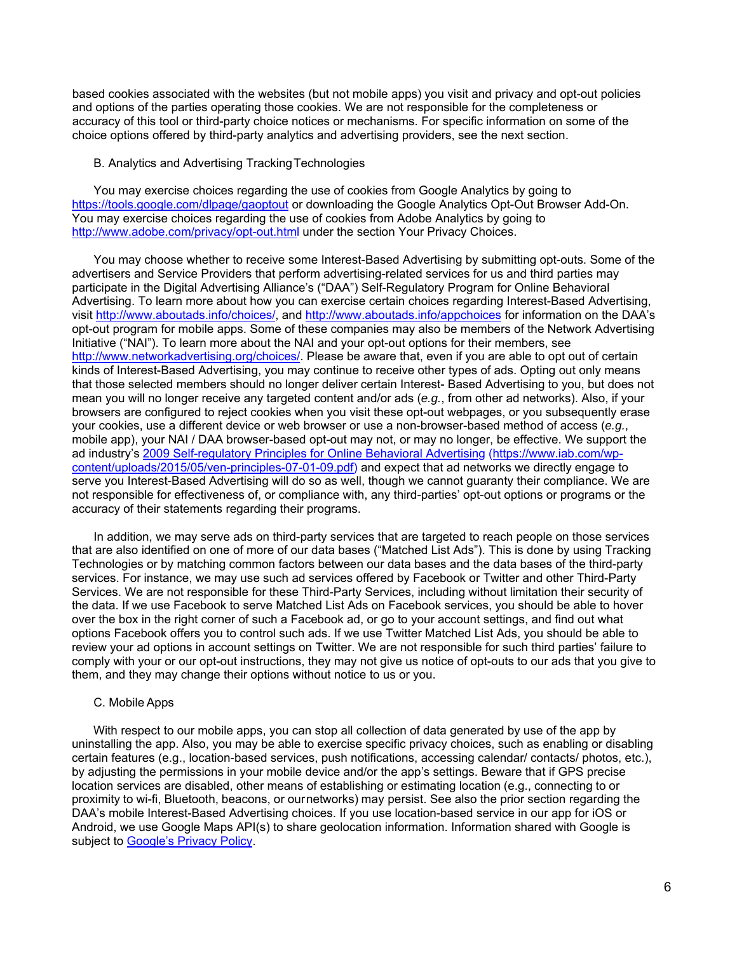based cookies associated with the websites (but not mobile apps) you visit and privacy and opt-out policies and options of the parties operating those cookies. We are not responsible for the completeness or accuracy of this tool or third-party choice notices or mechanisms. For specific information on some of the choice options offered by third-party analytics and advertising providers, see the next section.

#### B. Analytics and Advertising Tracking Technologies

You may exercise choices regarding the use of cookies from Google Analytics by going to https://tools.google.com/dlpage/gaoptout or downloading the Google Analytics Opt-Out Browser Add-On. You may exercise choices regarding the use of cookies from Adobe Analytics by going to http://www.adobe.com/privacy/opt-out.html under the section Your Privacy Choices.

You may choose whether to receive some Interest-Based Advertising by submitting opt-outs. Some of the advertisers and Service Providers that perform advertising-related services for us and third parties may participate in the Digital Advertising Alliance's ("DAA") Self-Regulatory Program for Online Behavioral Advertising. To learn more about how you can exercise certain choices regarding Interest-Based Advertising, visit http://www.aboutads.info/choices/, and http://www.aboutads.info/appchoices for information on the DAA's opt-out program for mobile apps. Some of these companies may also be members of the Network Advertising Initiative ("NAI"). To learn more about the NAI and your opt-out options for their members, see http://www.networkadvertising.org/choices/. Please be aware that, even if you are able to opt out of certain kinds of Interest-Based Advertising, you may continue to receive other types of ads. Opting out only means that those selected members should no longer deliver certain Interest- Based Advertising to you, but does not mean you will no longer receive any targeted content and/or ads (*e.g.*, from other ad networks). Also, if your browsers are configured to reject cookies when you visit these opt-out webpages, or you subsequently erase your cookies, use a different device or web browser or use a non-browser-based method of access (*e.g.*, mobile app), your NAI / DAA browser-based opt-out may not, or may no longer, be effective. We support the ad industry's [2009 Self-regulatory Principles for Online Behavioral Advertising](https://www.iab.com/wp-content/uploads/2015/05/ven-principles-07-01-09.pdf) (https://www.iab.com/wpcontent/uploads/2015/05/ven-principles-07-01-09.pdf) and expect that ad networks we directly engage to serve you Interest-Based Advertising will do so as well, though we cannot guaranty their compliance. We are not responsible for effectiveness of, or compliance with, any third-parties' opt-out options or programs or the accuracy of their statements regarding their programs.

In addition, we may serve ads on third-party services that are targeted to reach people on those services that are also identified on one of more of our data bases ("Matched List Ads"). This is done by using Tracking Technologies or by matching common factors between our data bases and the data bases of the third-party services. For instance, we may use such ad services offered by Facebook or Twitter and other Third-Party Services. We are not responsible for these Third-Party Services, including without limitation their security of the data. If we use Facebook to serve Matched List Ads on Facebook services, you should be able to hover over the box in the right corner of such a Facebook ad, or go to your account settings, and find out what options Facebook offers you to control such ads. If we use Twitter Matched List Ads, you should be able to review your ad options in account settings on Twitter. We are not responsible for such third parties' failure to comply with your or our opt-out instructions, they may not give us notice of opt-outs to our ads that you give to them, and they may change their options without notice to us or you.

#### C. Mobile Apps

With respect to our mobile apps, you can stop all collection of data generated by use of the app by uninstalling the app. Also, you may be able to exercise specific privacy choices, such as enabling or disabling certain features (e.g., location-based services, push notifications, accessing calendar/ contacts/ photos, etc.), by adjusting the permissions in your mobile device and/or the app's settings. Beware that if GPS precise location services are disabled, other means of establishing or estimating location (e.g., connecting to or proximity to wi-fi, Bluetooth, beacons, or our networks) may persist. See also the prior section regarding the DAA's mobile Interest-Based Advertising choices. If you use location-based service in our app for iOS or Android, we use Google Maps API(s) to share geolocation information. Information shared with Google is subject to [Google's Privacy Policy.](https://www.google.com/policies/privacy)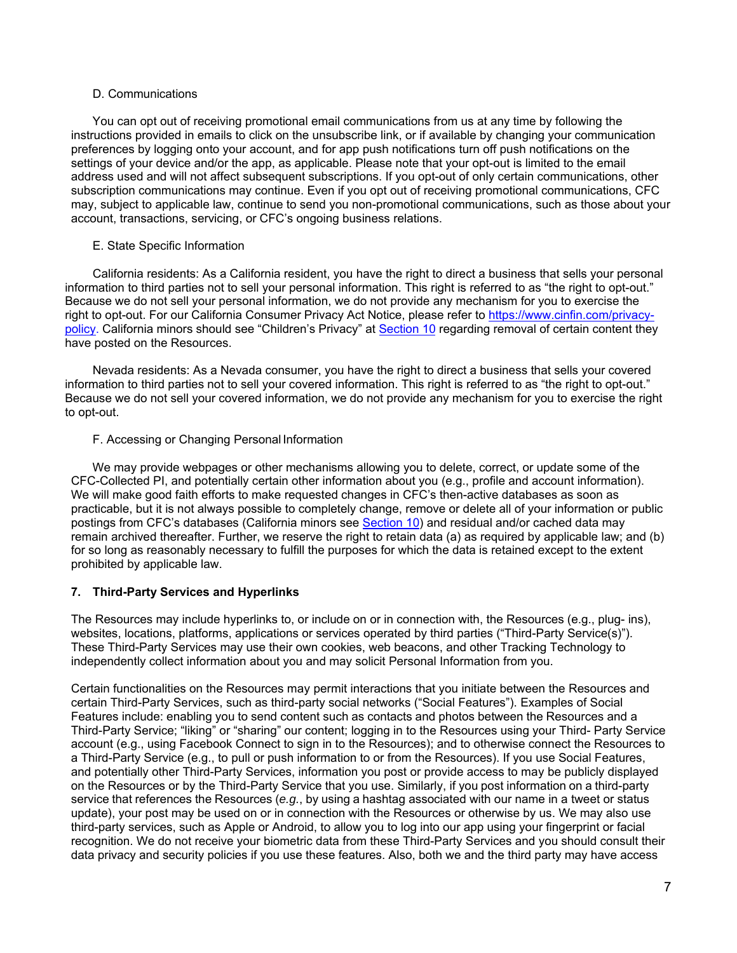#### D. Communications

You can opt out of receiving promotional email communications from us at any time by following the instructions provided in emails to click on the unsubscribe link, or if available by changing your communication preferences by logging onto your account, and for app push notifications turn off push notifications on the settings of your device and/or the app, as applicable. Please note that your opt-out is limited to the email address used and will not affect subsequent subscriptions. If you opt-out of only certain communications, other subscription communications may continue. Even if you opt out of receiving promotional communications, CFC may, subject to applicable law, continue to send you non-promotional communications, such as those about your account, transactions, servicing, or CFC's ongoing business relations.

## E. State Specific Information

California residents: As a California resident, you have the right to direct a business that sells your personal information to third parties not to sell your personal information. This right is referred to as "the right to opt-out." Because we do not sell your personal information, we do not provide any mechanism for you to exercise the right to opt-out. For our California Consumer Privacy Act Notice, please refer to [https://www.cinfin.com/privacy](https://www.cinfin.com/privacy-policy)policy. California minors should see "Children's Priv[acy" at Sec](#page-7-0)tion 10 regarding removal of certain content they have posted on the Resources.

Nevada residents: As a Nevada consumer, you have the right to direct a business that sells your covered information to third parties not to sell your covered information. This right is referred to as "the right to opt-out." Because we do not sell your covered information, we do not provide any mechanism for you to exercise the right to opt-out.

### F. Accessing or Changing Personal Information

We may provide webpages or other mechanisms allowing you to delete, correct, or update some of the CFC-Collected PI, and potentially certain other information about you (e.g., profile and account information). We will make good faith efforts to make requested changes in CFC's then-active databases as soon as practicable, but it is not always possible to completely change, remove or delete all of your information or public postings from CFC's databases (California minors see [Section 10\)](#page-7-0) and residual and/or cached data may remain archived thereafter. Further, we reserve the right to retain data (a) as required by applicable law; and (b) for so long as reasonably necessary to fulfill the purposes for which the data is retained except to the extent prohibited by applicable law.

## **7. Third-Party Services and Hyperlinks**

The Resources may include hyperlinks to, or include on or in connection with, the Resources (e.g., plug- ins), websites, locations, platforms, applications or services operated by third parties ("Third-Party Service(s)"). These Third-Party Services may use their own cookies, web beacons, and other Tracking Technology to independently collect information about you and may solicit Personal Information from you.

Certain functionalities on the Resources may permit interactions that you initiate between the Resources and certain Third-Party Services, such as third-party social networks ("Social Features"). Examples of Social Features include: enabling you to send content such as contacts and photos between the Resources and a Third-Party Service; "liking" or "sharing" our content; logging in to the Resources using your Third- Party Service account (e.g., using Facebook Connect to sign in to the Resources); and to otherwise connect the Resources to a Third-Party Service (e.g., to pull or push information to or from the Resources). If you use Social Features, and potentially other Third-Party Services, information you post or provide access to may be publicly displayed on the Resources or by the Third-Party Service that you use. Similarly, if you post information on a third-party service that references the Resources (*e.g.*, by using a hashtag associated with our name in a tweet or status update), your post may be used on or in connection with the Resources or otherwise by us. We may also use third-party services, such as Apple or Android, to allow you to log into our app using your fingerprint or facial recognition. We do not receive your biometric data from these Third-Party Services and you should consult their data privacy and security policies if you use these features. Also, both we and the third party may have access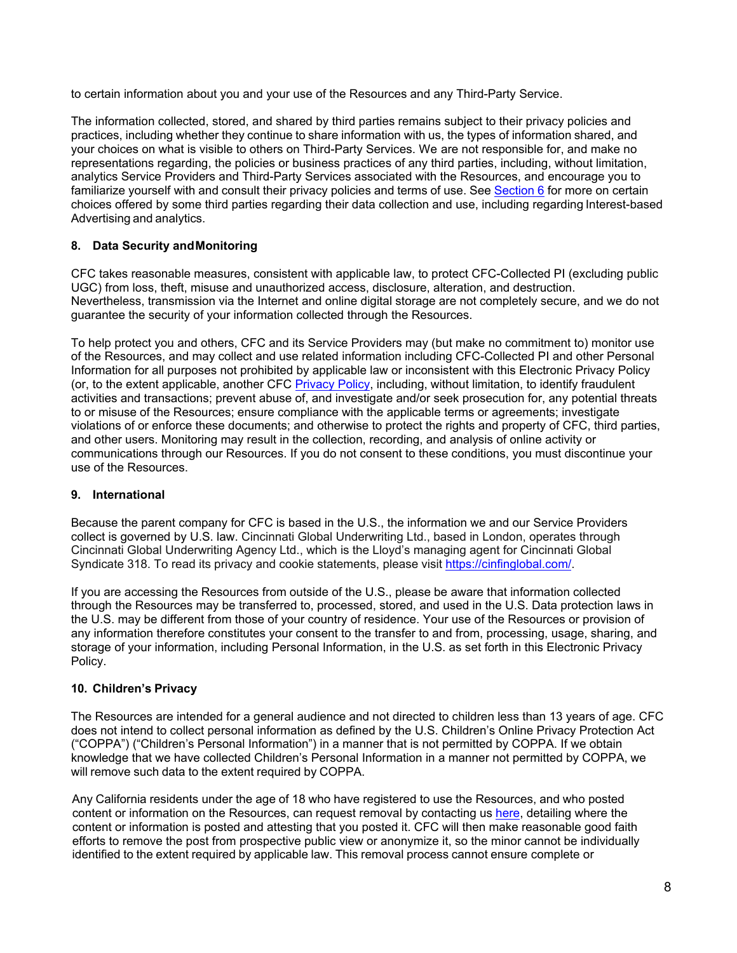<span id="page-7-0"></span>to certain information about you and your use of the Resources and any Third-Party Service.

The information collected, stored, and shared by third parties remains subject to their privacy policies and practices, including whether they continue to share information with us, the types of information shared, and your choices on what is visible to others on Third-Party Services. We are not responsible for, and make no representations regarding, the policies or business practices of any third parties, including, without limitation, analytics Service Providers and Third-Party Services associated with the Resources, and encourage you to familiarize yourself with and consult their privacy policies and terms of use. See [Section 6](#page-4-0) for more on certain choices offered by some third parties regarding their data collection and use, including regarding Interest-based Advertising and analytics.

## **8. Data Security and Monitoring**

CFC takes reasonable measures, consistent with applicable law, to protect CFC-Collected PI (excluding public UGC) from loss, theft, misuse and unauthorized access, disclosure, alteration, and destruction. Nevertheless, transmission via the Internet and online digital storage are not completely secure, and we do not guarantee the security of your information collected through the Resources.

To help protect you and others, CFC and its Service Providers may (but make no commitment to) monitor use of the Resources, and may collect and use related information including CFC-Collected PI and other Personal Information for all purposes not prohibited by applicable law or inconsistent with this Electronic Privacy Policy (or, to the extent applicable, another CFC [Privacy Policy,](https://www.cinfin.com/privacy-policy) including, without limitation, to identify fraudulent activities and transactions; prevent abuse of, and investigate and/or seek prosecution for, any potential threats to or misuse of the Resources; ensure compliance with the applicable terms or agreements; investigate violations of or enforce these documents; and otherwise to protect the rights and property of CFC, third parties, and other users. Monitoring may result in the collection, recording, and analysis of online activity or communications through our Resources. If you do not consent to these conditions, you must discontinue your use of the Resources.

## **9. International**

Because the parent company for CFC is based in the U.S., the information we and our Service Providers collect is governed by U.S. law. Cincinnati Global Underwriting Ltd., based in London, operates through Cincinnati Global Underwriting Agency Ltd., which is the Lloyd's managing agent for Cincinnati Global Syndicate 318. To read its privacy and cookie statements, please visit https://cinfinglobal.com/.

If you are accessing the Resources from outside of the U.S., please be aware that information collected through the Resources may be transferred to, processed, stored, and used in the U.S. Data protection laws in the U.S. may be different from those of your country of residence. Your use of the Resources or provision of any information therefore constitutes your consent to the transfer to and from, processing, usage, sharing, and storage of your information, including Personal Information, in the U.S. as set forth in this Electronic Privacy Policy.

## **10. Children's Privacy**

The Resources are intended for a general audience and not directed to children less than 13 years of age. CFC does not intend to collect personal information as defined by the U.S. Children's Online Privacy Protection Act ("COPPA") ("Children's Personal Information") in a manner that is not permitted by COPPA. If we obtain knowledge that we have collected Children's Personal Information in a manner not permitted by COPPA, we will remove such data to the extent required by COPPA.

Any California residents under the age of 18 who have registered to use the Resources, and who posted content or information on the Resources, can request removal by contacting us [here,](mailto:privacy@cinfin.com) detailing where the content or information is posted and attesting that you posted it. CFC will then make reasonable good faith efforts to remove the post from prospective public view or anonymize it, so the minor cannot be individually identified to the extent required by applicable law. This removal process cannot ensure complete or